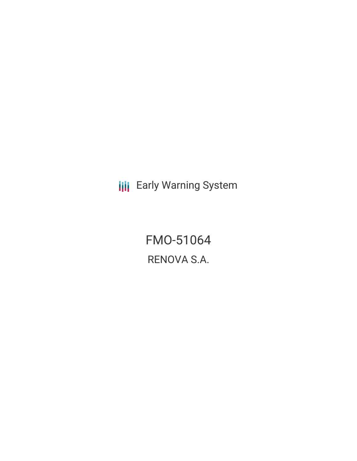**III** Early Warning System

FMO-51064 RENOVA S.A.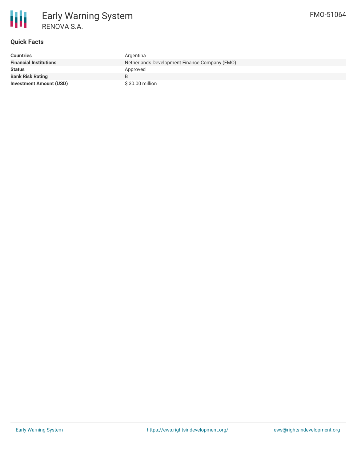

## **Quick Facts**

| <b>Countries</b>               | Argentina                                     |
|--------------------------------|-----------------------------------------------|
| <b>Financial Institutions</b>  | Netherlands Development Finance Company (FMO) |
| <b>Status</b>                  | Approved                                      |
| <b>Bank Risk Rating</b>        | B.                                            |
| <b>Investment Amount (USD)</b> | \$30.00 million                               |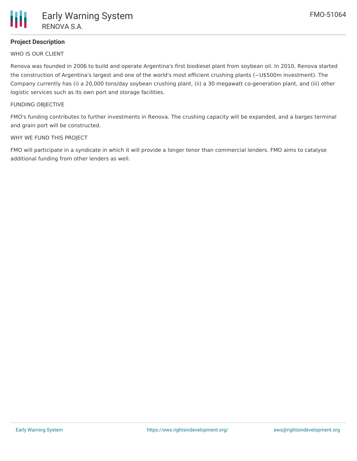# **Project Description**

WHO IS OUR CLIENT

Renova was founded in 2006 to build and operate Argentina's first biodiesel plant from soybean oil. In 2010, Renova started the construction of Argentina's largest and one of the world's most efficient crushing plants (~U\$500m investment). The Company currently has (i) a 20,000 tons/day soybean crushing plant, (ii) a 30 megawatt co-generation plant, and (iii) other logistic services such as its own port and storage facilities.

#### FUNDING OBJECTIVE

FMO's funding contributes to further investments in Renova. The crushing capacity will be expanded, and a barges terminal and grain port will be constructed.

#### WHY WE FUND THIS PROJECT

FMO will participate in a syndicate in which it will provide a longer tenor than commercial lenders. FMO aims to catalyse additional funding from other lenders as well.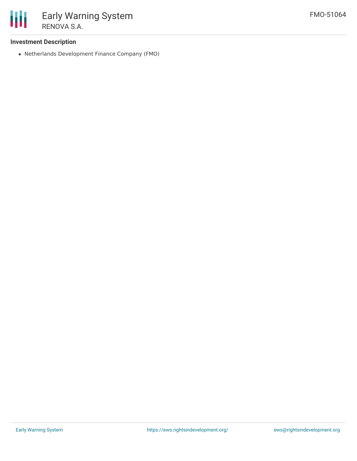

## **Investment Description**

Netherlands Development Finance Company (FMO)